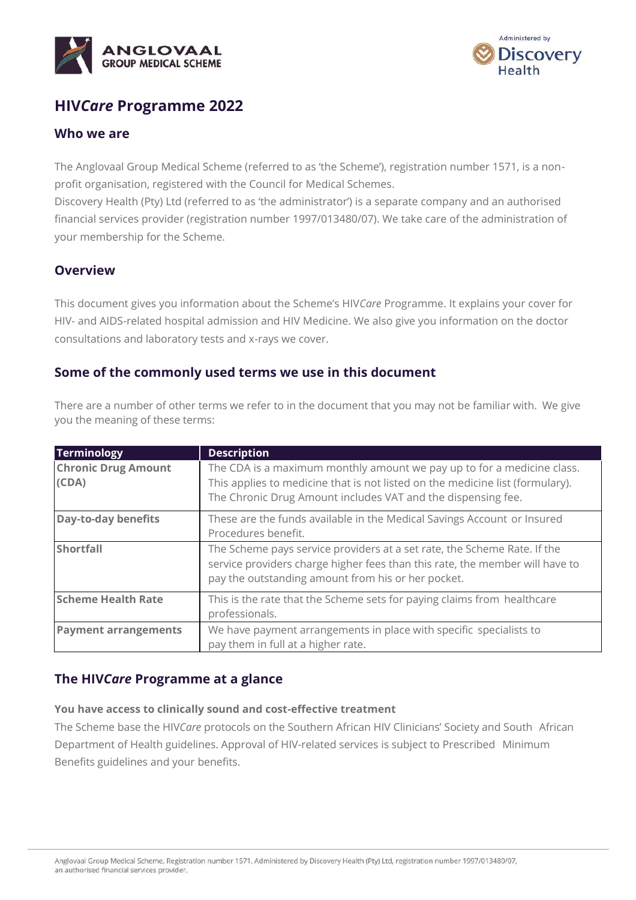



# **HIV***Care* **Programme 2022**

### **Who we are**

The Anglovaal Group Medical Scheme (referred to as 'the Scheme'), registration number 1571, is a nonprofit organisation, registered with the Council for Medical Schemes.

Discovery Health (Pty) Ltd (referred to as 'the administrator') is a separate company and an authorised financial services provider (registration number 1997/013480/07). We take care of the administration of your membership for the Scheme.

## **Overview**

This document gives you information about the Scheme's HIV*Care* Programme. It explains your cover for HIV- and AIDS-related hospital admission and HIV Medicine. We also give you information on the doctor consultations and laboratory tests and x-rays we cover.

## **Some of the commonly used terms we use in this document**

There are a number of other terms we refer to in the document that you may not be familiar with. We give you the meaning of these terms:

| <b>Terminology</b>                  | <b>Description</b>                                                                                                                                                                                                      |
|-------------------------------------|-------------------------------------------------------------------------------------------------------------------------------------------------------------------------------------------------------------------------|
| <b>Chronic Drug Amount</b><br>(CDA) | The CDA is a maximum monthly amount we pay up to for a medicine class.<br>This applies to medicine that is not listed on the medicine list (formulary).<br>The Chronic Drug Amount includes VAT and the dispensing fee. |
| <b>Day-to-day benefits</b>          | These are the funds available in the Medical Savings Account or Insured<br>Procedures benefit.                                                                                                                          |
| <b>Shortfall</b>                    | The Scheme pays service providers at a set rate, the Scheme Rate. If the<br>service providers charge higher fees than this rate, the member will have to<br>pay the outstanding amount from his or her pocket.          |
| <b>Scheme Health Rate</b>           | This is the rate that the Scheme sets for paying claims from healthcare<br>professionals.                                                                                                                               |
| <b>Payment arrangements</b>         | We have payment arrangements in place with specific specialists to<br>pay them in full at a higher rate.                                                                                                                |

## **The HIV***Care* **Programme at a glance**

### **You have access to clinically sound and cost-effective treatment**

The Scheme base the HIV*Care* protocols on the Southern African HIV Clinicians' Society and South African Department of Health guidelines. Approval of HIV-related services is subject to Prescribed Minimum Benefits guidelines and your benefits.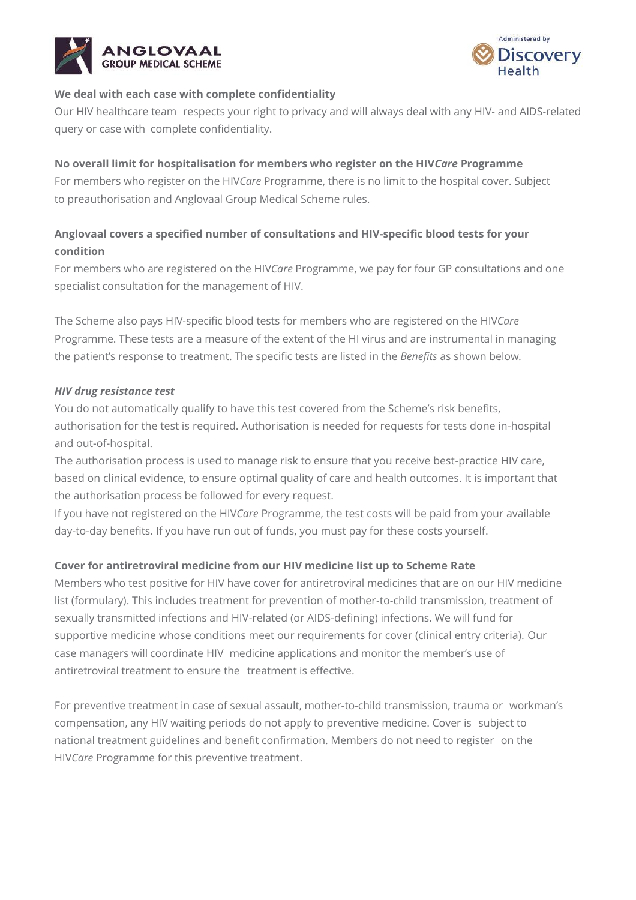



### **We deal with each case with complete confidentiality**

Our HIV healthcare team respects your right to privacy and will always deal with any HIV- and AIDS-related query or case with complete confidentiality.

### **No overall limit for hospitalisation for members who register on the HIV***Care* **Programme**

For members who register on the HIV*Care* Programme, there is no limit to the hospital cover. Subject to preauthorisation and Anglovaal Group Medical Scheme rules.

## **Anglovaal covers a specified number of consultations and HIV-specific blood tests for your condition**

For members who are registered on the HIV*Care* Programme, we pay for four GP consultations and one specialist consultation for the management of HIV.

The Scheme also pays HIV-specific blood tests for members who are registered on the HIV*Care* Programme. These tests are a measure of the extent of the HI virus and are instrumental in managing the patient's response to treatment. The specific tests are listed in the *Benefits* as shown below*.*

### *HIV drug resistance test*

You do not automatically qualify to have this test covered from the Scheme's risk benefits, authorisation for the test is required. Authorisation is needed for requests for tests done in-hospital and out-of-hospital.

The authorisation process is used to manage risk to ensure that you receive best-practice HIV care, based on clinical evidence, to ensure optimal quality of care and health outcomes. It is important that the authorisation process be followed for every request.

If you have not registered on the HIV*Care* Programme, the test costs will be paid from your available day-to-day benefits. If you have run out of funds, you must pay for these costs yourself.

## **Cover for antiretroviral medicine from our HIV medicine list up to Scheme Rate**

Members who test positive for HIV have cover for antiretroviral medicines that are on our HIV medicine list (formulary). This includes treatment for prevention of mother-to-child transmission, treatment of sexually transmitted infections and HIV-related (or AIDS-defining) infections. We will fund for supportive medicine whose conditions meet our requirements for cover (clinical entry criteria). Our case managers will coordinate HIV medicine applications and monitor the member's use of antiretroviral treatment to ensure the treatment is effective.

For preventive treatment in case of sexual assault, mother-to-child transmission, trauma or workman's compensation, any HIV waiting periods do not apply to preventive medicine. Cover is subject to national treatment guidelines and benefit confirmation. Members do not need to register on the HIV*Care* Programme for this preventive treatment.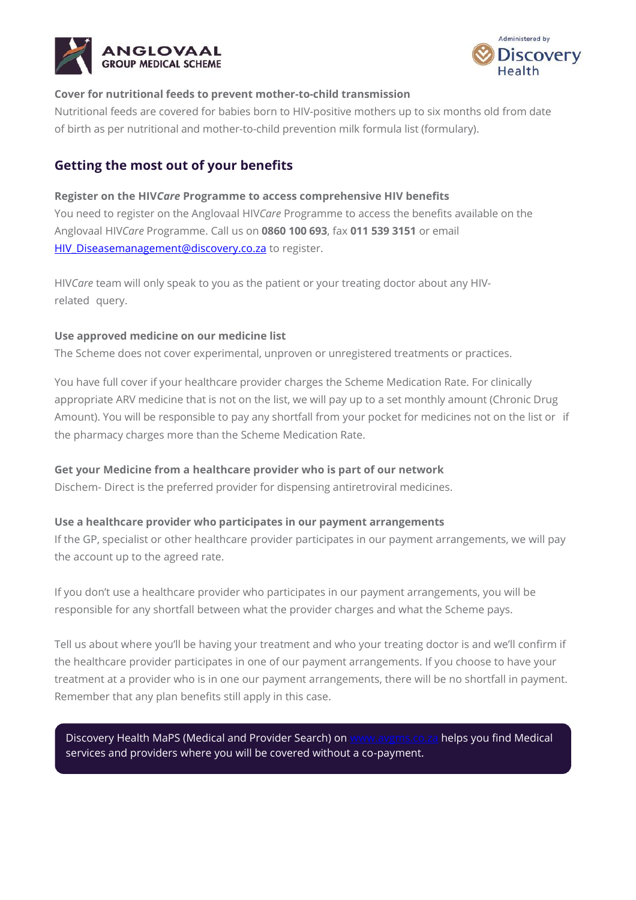



#### **Cover for nutritional feeds to prevent mother-to-child transmission**

Nutritional feeds are covered for babies born to HIV-positive mothers up to six months old from date of birth as per nutritional and mother-to-child prevention milk formula list (formulary).

## **Getting the most out of your benefits**

### **Register on the HIV***Care* **Programme to access comprehensive HIV benefits**

You need to register on the Anglovaal HIV*Care* Programme to access the benefits available on the Anglovaal HIV*Care* Programme. Call us on **0860 100 693**, fax **011 539 3151** or email [HIV\\_Diseasemanagement@discovery.co.za](mailto:HIV_Diseasemanagement@discovery.co.za) to register.

HIV*Care* team will only speak to you as the patient or your treating doctor about any HIVrelated query.

#### **Use approved medicine on our medicine list**

The Scheme does not cover experimental, unproven or unregistered treatments or practices.

You have full cover if your healthcare provider charges the Scheme Medication Rate. For clinically appropriate ARV medicine that is not on the list, we will pay up to a set monthly amount (Chronic Drug Amount). You will be responsible to pay any shortfall from your pocket for medicines not on the list or if the pharmacy charges more than the Scheme Medication Rate.

### **Get your Medicine from a healthcare provider who is part of our network**

Dischem- Direct is the preferred provider for dispensing antiretroviral medicines.

#### **Use a healthcare provider who participates in our payment arrangements**

If the GP, specialist or other healthcare provider participates in our payment arrangements, we will pay the account up to the agreed rate.

If you don't use a healthcare provider who participates in our payment arrangements, you will be responsible for any shortfall between what the provider charges and what the Scheme pays.

Tell us about where you'll be having your treatment and who your treating doctor is and we'll confirm if the healthcare provider participates in one of our payment arrangements. If you choose to have your treatment at a provider who is in one our payment arrangements, there will be no shortfall in payment. Remember that any plan benefits still apply in this case.

Discovery Health MaPS (Medical and Provider Search) on [www.avgms.co.za](http://www.avgms.co.za/) helps you find Medical services and providers where you will be covered without a co-payment.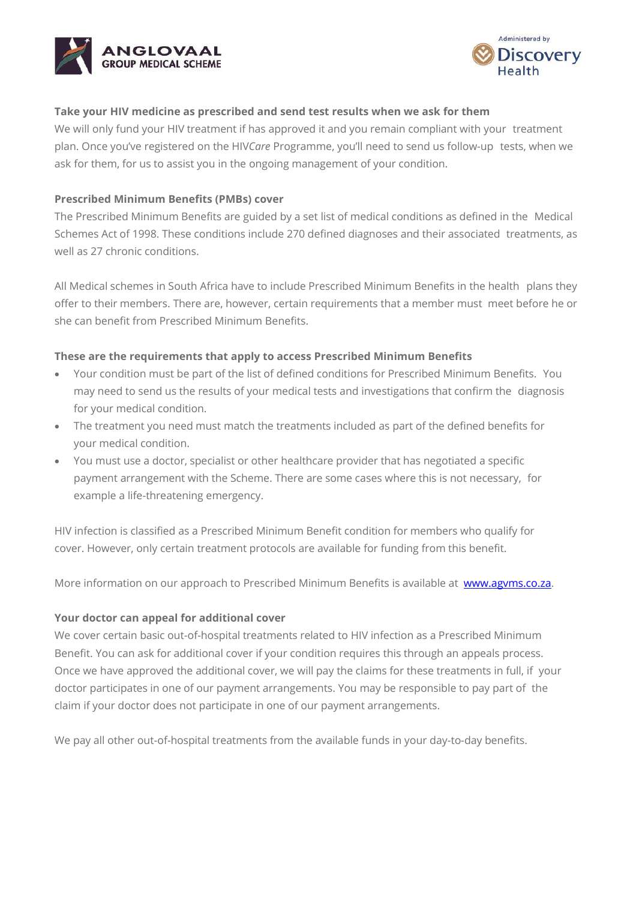



#### **Take your HIV medicine as prescribed and send test results when we ask for them**

We will only fund your HIV treatment if has approved it and you remain compliant with your treatment plan. Once you've registered on the HIV*Care* Programme, you'll need to send us follow-up tests, when we ask for them, for us to assist you in the ongoing management of your condition.

### **Prescribed Minimum Benefits (PMBs) cover**

The Prescribed Minimum Benefits are guided by a set list of medical conditions as defined in the Medical Schemes Act of 1998. These conditions include 270 defined diagnoses and their associated treatments, as well as 27 chronic conditions.

All Medical schemes in South Africa have to include Prescribed Minimum Benefits in the health plans they offer to their members. There are, however, certain requirements that a member must meet before he or she can benefit from Prescribed Minimum Benefits.

#### **These are the requirements that apply to access Prescribed Minimum Benefits**

- Your condition must be part of the list of defined conditions for Prescribed Minimum Benefits. You may need to send us the results of your medical tests and investigations that confirm the diagnosis for your medical condition.
- The treatment you need must match the treatments included as part of the defined benefits for your medical condition.
- You must use a doctor, specialist or other healthcare provider that has negotiated a specific payment arrangement with the Scheme. There are some cases where this is not necessary, for example a life-threatening emergency.

HIV infection is classified as a Prescribed Minimum Benefit condition for members who qualify for cover. However, only certain treatment protocols are available for funding from this benefit.

More information on our approach to Prescribed Minimum Benefits is available at www.agyms.co.za.

#### **Your doctor can appeal for additional cover**

We cover certain basic out-of-hospital treatments related to HIV infection as a Prescribed Minimum Benefit. You can ask for additional cover if your condition requires this through an appeals process. Once we have approved the additional cover, we will pay the claims for these treatments in full, if your doctor participates in one of our payment arrangements. You may be responsible to pay part of the claim if your doctor does not participate in one of our payment arrangements.

We pay all other out-of-hospital treatments from the available funds in your day-to-day benefits.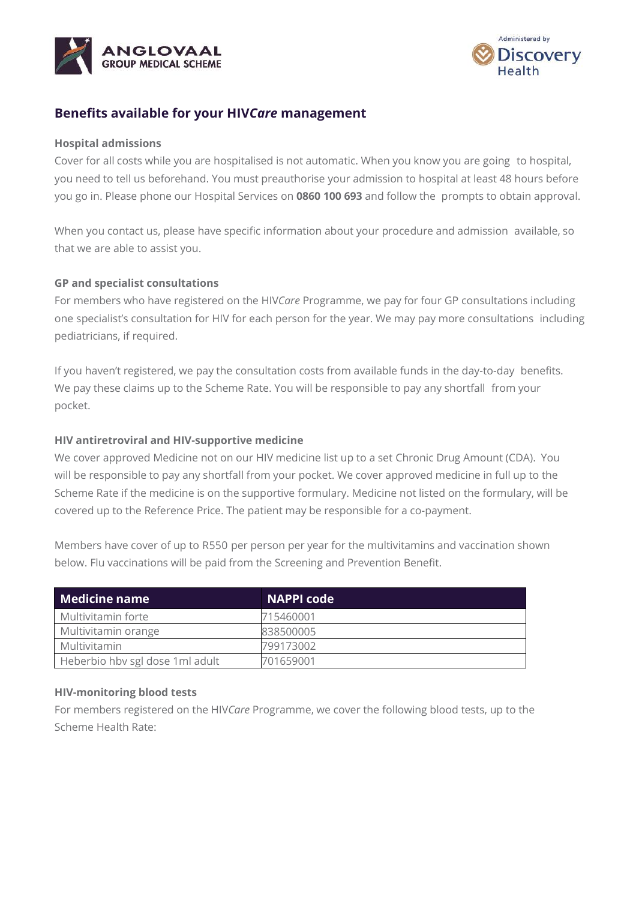



## **Benefits available for your HIV***Care* **management**

#### **Hospital admissions**

Cover for all costs while you are hospitalised is not automatic. When you know you are going to hospital, you need to tell us beforehand. You must preauthorise your admission to hospital at least 48 hours before you go in. Please phone our Hospital Services on **0860 100 693** and follow the prompts to obtain approval.

When you contact us, please have specific information about your procedure and admission available, so that we are able to assist you.

#### **GP and specialist consultations**

For members who have registered on the HIV*Care* Programme, we pay for four GP consultations including one specialist's consultation for HIV for each person for the year. We may pay more consultations including pediatricians, if required.

If you haven't registered, we pay the consultation costs from available funds in the day-to-day benefits. We pay these claims up to the Scheme Rate. You will be responsible to pay any shortfall from your pocket.

#### **HIV antiretroviral and HIV-supportive medicine**

We cover approved Medicine not on our HIV medicine list up to a set Chronic Drug Amount (CDA). You will be responsible to pay any shortfall from your pocket. We cover approved medicine in full up to the Scheme Rate if the medicine is on the supportive formulary. Medicine not listed on the formulary, will be covered up to the Reference Price. The patient may be responsible for a co-payment.

Members have cover of up to R550 per person per year for the multivitamins and vaccination shown below. Flu vaccinations will be paid from the Screening and Prevention Benefit.

| <b>Medicine name</b>             | <b>NAPPI code</b> |
|----------------------------------|-------------------|
| Multivitamin forte               | 715460001         |
| Multivitamin orange              | 838500005         |
| <b>Multivitamin</b>              | 799173002         |
| Heberbio hby sgl dose 1 ml adult | 701659001         |

#### **HIV-monitoring blood tests**

For members registered on the HIV*Care* Programme, we cover the following blood tests, up to the Scheme Health Rate: